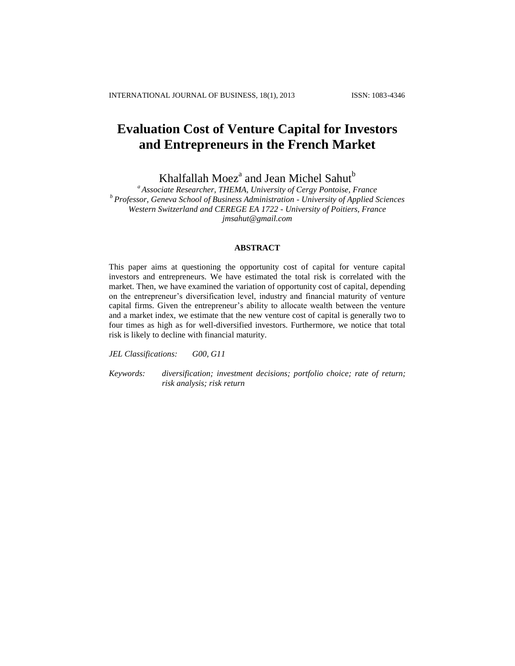# **Evaluation Cost of Venture Capital for Investors and Entrepreneurs in the French Market**

Khalfallah Moez<sup>a</sup> and Jean Michel Sahut<sup>b</sup>

*<sup>a</sup> Associate Researcher, THEMA, University of Cergy Pontoise, France <sup>b</sup> Professor, Geneva School of Business Administration - University of Applied Sciences Western Switzerland and CEREGE EA 1722 - University of Poitiers, France jmsahut@gmail.com*

## **ABSTRACT**

This paper aims at questioning the opportunity cost of capital for venture capital investors and entrepreneurs. We have estimated the total risk is correlated with the market. Then, we have examined the variation of opportunity cost of capital, depending on the entrepreneur's diversification level, industry and financial maturity of venture capital firms. Given the entrepreneur's ability to allocate wealth between the venture and a market index, we estimate that the new venture cost of capital is generally two to four times as high as for well-diversified investors. Furthermore, we notice that total risk is likely to decline with financial maturity.

*JEL Classifications: G00, G11*

*Keywords: diversification; investment decisions; portfolio choice; rate of return; risk analysis; risk return*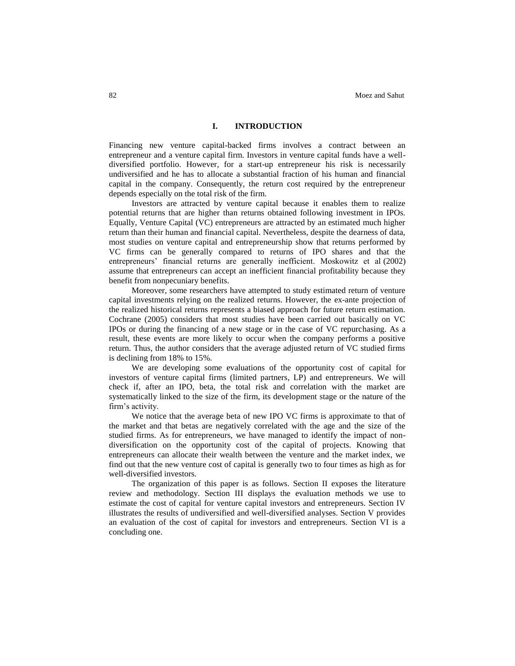## **I. INTRODUCTION**

Financing new venture capital-backed firms involves a contract between an entrepreneur and a venture capital firm. Investors in venture capital funds have a welldiversified portfolio. However, for a start-up entrepreneur his risk is necessarily undiversified and he has to allocate a substantial fraction of his human and financial capital in the company. Consequently, the return cost required by the entrepreneur depends especially on the total risk of the firm.

Investors are attracted by venture capital because it enables them to realize potential returns that are higher than returns obtained following investment in IPOs. Equally, Venture Capital (VC) entrepreneurs are attracted by an estimated much higher return than their human and financial capital. Nevertheless, despite the dearness of data, most studies on venture capital and entrepreneurship show that returns performed by VC firms can be generally compared to returns of IPO shares and that the entrepreneurs' financial returns are generally inefficient. Moskowitz et al (2002) assume that entrepreneurs can accept an inefficient financial profitability because they benefit from nonpecuniary benefits.

Moreover, some researchers have attempted to study estimated return of venture capital investments relying on the realized returns. However, the ex-ante projection of the realized historical returns represents a biased approach for future return estimation. Cochrane (2005) considers that most studies have been carried out basically on VC IPOs or during the financing of a new stage or in the case of VC repurchasing. As a result, these events are more likely to occur when the company performs a positive return. Thus, the author considers that the average adjusted return of VC studied firms is declining from 18% to 15%.

We are developing some evaluations of the opportunity cost of capital for investors of venture capital firms (limited partners, LP) and entrepreneurs. We will check if, after an IPO, beta, the total risk and correlation with the market are systematically linked to the size of the firm, its development stage or the nature of the firm's activity.

We notice that the average beta of new IPO VC firms is approximate to that of the market and that betas are negatively correlated with the age and the size of the studied firms. As for entrepreneurs, we have managed to identify the impact of nondiversification on the opportunity cost of the capital of projects. Knowing that entrepreneurs can allocate their wealth between the venture and the market index, we find out that the new venture cost of capital is generally two to four times as high as for well-diversified investors.

The organization of this paper is as follows. Section II exposes the literature review and methodology. Section III displays the evaluation methods we use to estimate the cost of capital for venture capital investors and entrepreneurs. Section IV illustrates the results of undiversified and well-diversified analyses. Section V provides an evaluation of the cost of capital for investors and entrepreneurs. Section VI is a concluding one.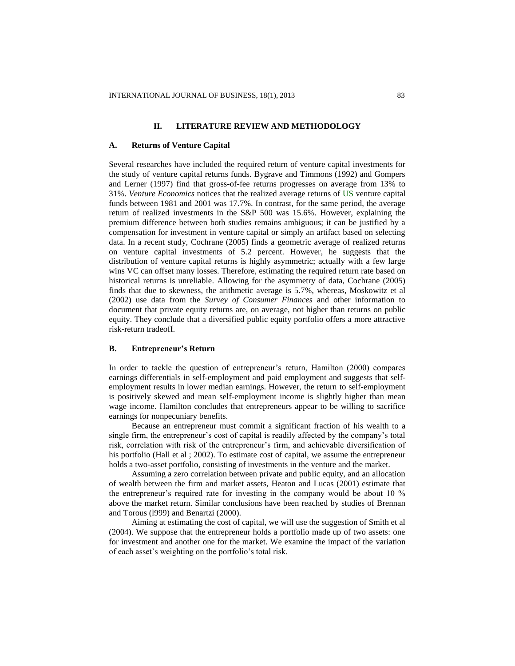## **II. LITERATURE REVIEW AND METHODOLOGY**

#### **A. Returns of Venture Capital**

Several researches have included the required return of venture capital investments for the study of venture capital returns funds. Bygrave and Timmons (1992) and Gompers and Lerner (1997) find that gross-of-fee returns progresses on average from 13% to 31%. *Venture Economics* notices that the realized average returns of US venture capital funds between 1981 and 2001 was 17.7%. In contrast, for the same period, the average return of realized investments in the S&P 500 was 15.6%. However, explaining the premium difference between both studies remains ambiguous; it can be justified by a compensation for investment in venture capital or simply an artifact based on selecting data. In a recent study, Cochrane (2005) finds a geometric average of realized returns on venture capital investments of 5.2 percent. However, he suggests that the distribution of venture capital returns is highly asymmetric; actually with a few large wins VC can offset many losses. Therefore, estimating the required return rate based on historical returns is unreliable. Allowing for the asymmetry of data, Cochrane (2005) finds that due to skewness, the arithmetic average is 5.7%, whereas, Moskowitz et al (2002) use data from the *Survey of Consumer Finances* and other information to document that private equity returns are, on average, not higher than returns on public equity. They conclude that a diversified public equity portfolio offers a more attractive risk-return tradeoff.

## **B. Entrepreneur's Return**

In order to tackle the question of entrepreneur's return, Hamilton (2000) compares earnings differentials in self-employment and paid employment and suggests that selfemployment results in lower median earnings. However, the return to self-employment is positively skewed and mean self-employment income is slightly higher than mean wage income. Hamilton concludes that entrepreneurs appear to be willing to sacrifice earnings for nonpecuniary benefits.

Because an entrepreneur must commit a significant fraction of his wealth to a single firm, the entrepreneur's cost of capital is readily affected by the company's total risk, correlation with risk of the entrepreneur's firm, and achievable diversification of his portfolio (Hall et al ; 2002). To estimate cost of capital, we assume the entrepreneur holds a two-asset portfolio, consisting of investments in the venture and the market.

Assuming a zero correlation between private and public equity, and an allocation of wealth between the firm and market assets, Heaton and Lucas (2001) estimate that the entrepreneur's required rate for investing in the company would be about 10 % above the market return. Similar conclusions have been reached by studies of Brennan and Torous (l999) and Benartzi (2000).

Aiming at estimating the cost of capital, we will use the suggestion of Smith et al (2004). We suppose that the entrepreneur holds a portfolio made up of two assets: one for investment and another one for the market. We examine the impact of the variation of each asset's weighting on the portfolio's total risk.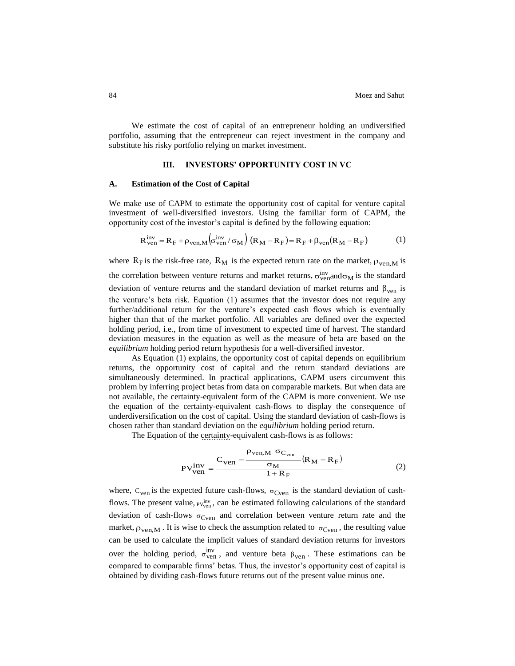We estimate the cost of capital of an entrepreneur holding an undiversified portfolio, assuming that the entrepreneur can reject investment in the company and substitute his risky portfolio relying on market investment.

## **III. INVESTORS' OPPORTUNITY COST IN VC**

#### **A. Estimation of the Cost of Capital**

We make use of CAPM to estimate the opportunity cost of capital for venture capital investment of well-diversified investors. Using the familiar form of CAPM, the opportunity cost of the investor's capital is defined by the following equation:

$$
R_{\text{ven}}^{\text{inv}} = R_{\text{F}} + \rho_{\text{ven},M} \left( \sigma_{\text{ven}}^{\text{inv}} / \sigma_M \right) \left( R_M - R_{\text{F}} \right) = R_{\text{F}} + \beta_{\text{ven}} \left( R_M - R_{\text{F}} \right) \tag{1}
$$

where  $R_F$  is the risk-free rate,  $R_M$  is the expected return rate on the market,  $\rho_{ven,M}$  is the correlation between venture returns and market returns,  $\sigma_{\text{ven}}^{\text{inv}}$  and  $\sigma_M$  is the standard deviation of venture returns and the standard deviation of market returns and  $\beta_{ven}$  is the venture's beta risk. Equation (1) assumes that the investor does not require any further/additional return for the venture's expected cash flows which is eventually higher than that of the market portfolio. All variables are defined over the expected holding period, i.e., from time of investment to expected time of harvest. The standard deviation measures in the equation as well as the measure of beta are based on the *equilibrium* holding period return hypothesis for a well-diversified investor.

As Equation (1) explains, the opportunity cost of capital depends on equilibrium returns, the opportunity cost of capital and the return standard deviations are simultaneously determined. In practical applications, CAPM users circumvent this problem by inferring project betas from data on comparable markets. But when data are not available, the certainty-equivalent form of the CAPM is more convenient. We use the equation of the certainty-equivalent cash-flows to display the consequence of underdiversification on the cost of capital. Using the standard deviation of cash-flows is chosen rather than standard deviation on the *equilibrium* holding period return.

The Equation of the certainty-equivalent cash-flows is as follows:

$$
PV_{ven}^{inv} = \frac{C_{ven} - \frac{\rho_{ven,M} \sigma_{C_{ven}}}{\sigma_M} (R_M - R_F)}{1 + R_F}
$$
 (2)

where,  $C_{\text{ven}}$  is the expected future cash-flows,  $\sigma_{\text{Cven}}$  is the standard deviation of cashflows. The present value,  $PV_{ven}^{inv}$ , can be estimated following calculations of the standard deviation of cash-flows  $\sigma_{\text{Cven}}$  and correlation between venture return rate and the market,  $\rho_{ven,M}$ . It is wise to check the assumption related to  $\sigma_{Cven}$ , the resulting value can be used to calculate the implicit values of standard deviation returns for investors over the holding period,  $\sigma_{\text{ven}}^{\text{inv}}$ , and venture beta  $\beta_{\text{ven}}$ . These estimations can be compared to comparable firms' betas. Thus, the investor's opportunity cost of capital is obtained by dividing cash-flows future returns out of the present value minus one.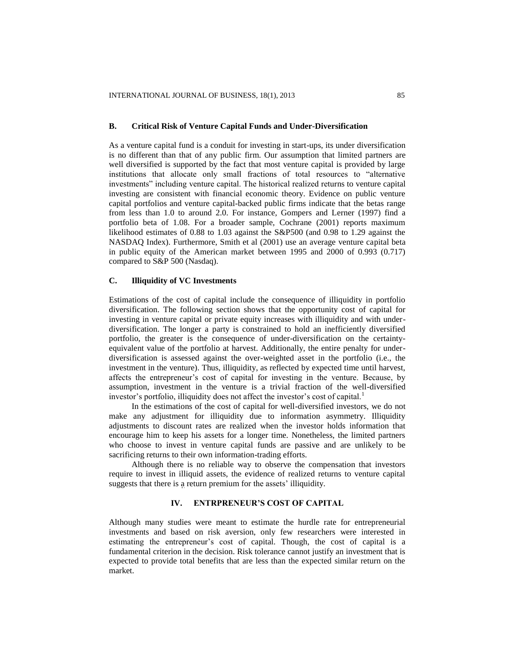## **B. Critical Risk of Venture Capital Funds and Under-Diversification**

As a venture capital fund is a conduit for investing in start-ups, its under diversification is no different than that of any public firm. Our assumption that limited partners are well diversified is supported by the fact that most venture capital is provided by large institutions that allocate only small fractions of total resources to "alternative investments" including venture capital. The historical realized returns to venture capital investing are consistent with financial economic theory. Evidence on public venture capital portfolios and venture capital-backed public firms indicate that the betas range from less than 1.0 to around 2.0. For instance, Gompers and Lerner (1997) find a portfolio beta of 1.08. For a broader sample, Cochrane (2001) reports maximum likelihood estimates of 0.88 to 1.03 against the S&P500 (and 0.98 to 1.29 against the NASDAQ Index). Furthermore, Smith et al (2001) use an average venture capital beta in public equity of the American market between 1995 and 2000 of 0.993 (0.717) compared to S&P 500 (Nasdaq).

### **C. Illiquidity of VC Investments**

Estimations of the cost of capital include the consequence of illiquidity in portfolio diversification. The following section shows that the opportunity cost of capital for investing in venture capital or private equity increases with illiquidity and with underdiversification. The longer a party is constrained to hold an inefficiently diversified portfolio, the greater is the consequence of under-diversification on the certaintyequivalent value of the portfolio at harvest. Additionally, the entire penalty for underdiversification is assessed against the over-weighted asset in the portfolio (i.e., the investment in the venture). Thus, illiquidity, as reflected by expected time until harvest, affects the entrepreneur's cost of capital for investing in the venture. Because, by assumption, investment in the venture is a trivial fraction of the well-diversified investor's portfolio, illiquidity does not affect the investor's cost of capital.<sup>1</sup>

In the estimations of the cost of capital for well-diversified investors, we do not make any adjustment for illiquidity due to information asymmetry. Illiquidity adjustments to discount rates are realized when the investor holds information that encourage him to keep his assets for a longer time. Nonetheless, the limited partners who choose to invest in venture capital funds are passive and are unlikely to be sacrificing returns to their own information-trading efforts.

Although there is no reliable way to observe the compensation that investors require to invest in illiquid assets, the evidence of realized returns to venture capital suggests that there is a return premium for the assets' illiquidity.

## **IV. ENTRPRENEUR'S COST OF CAPITAL**

Although many studies were meant to estimate the hurdle rate for entrepreneurial investments and based on risk aversion, only few researchers were interested in estimating the entrepreneur's cost of capital. Though, the cost of capital is a fundamental criterion in the decision. Risk tolerance cannot justify an investment that is expected to provide total benefits that are less than the expected similar return on the market.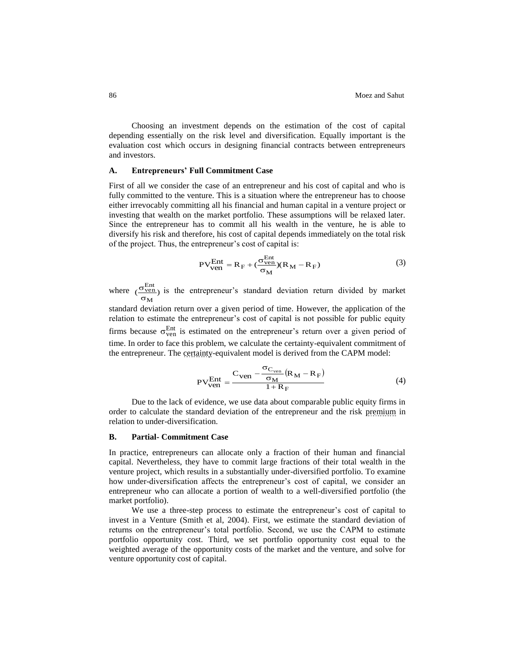Choosing an investment depends on the estimation of the cost of capital depending essentially on the risk level and diversification. Equally important is the evaluation cost which occurs in designing financial contracts between entrepreneurs and investors.

## **A. Entrepreneurs' Full Commitment Case**

First of all we consider the case of an entrepreneur and his cost of capital and who is fully committed to the venture. This is a situation where the entrepreneur has to choose either irrevocably committing all his financial and human capital in a venture project or investing that wealth on the market portfolio. These assumptions will be relaxed later. Since the entrepreneur has to commit all his wealth in the venture, he is able to diversify his risk and therefore, his cost of capital depends immediately on the total risk of the project. Thus, the entrepreneur's cost of capital is:

$$
PV_{ven}^{Ent} = R_F + (\frac{\sigma_{ven}^{Ent}}{\sigma_M})(R_M - R_F)
$$
 (3)

where  $\left(\frac{\sigma_{\text{ven}}}{\sigma_{\text{ven}}}\right)$ M Ent ven  $\overline{\sigma}$  $\frac{\sigma_{\text{ven}}^{\text{Ent}}}{{\sigma_{\text{ven}}^{\text{in}}}}$  is the entrepreneur's standard deviation return divided by market

standard deviation return over a given period of time. However, the application of the relation to estimate the entrepreneur's cost of capital is not possible for public equity firms because  $\sigma_{\text{ven}}^{\text{Ent}}$  is estimated on the entrepreneur's return over a given period of time. In order to face this problem, we calculate the certainty-equivalent commitment of the entrepreneur. The certainty-equivalent model is derived from the CAPM model:

$$
PV_{ven}^{Ent} = \frac{C_{ven} - \frac{\sigma_{C_{ven}}}{\sigma_M} (R_M - R_F)}{1 + R_F}
$$
(4)

Due to the lack of evidence, we use data about comparable public equity firms in order to calculate the standard deviation of the entrepreneur and the risk premium in relation to under-diversification.

### **B. Partial- Commitment Case**

In practice, entrepreneurs can allocate only a fraction of their human and financial capital. Nevertheless, they have to commit large fractions of their total wealth in the venture project, which results in a substantially under-diversified portfolio. To examine how under-diversification affects the entrepreneur's cost of capital, we consider an entrepreneur who can allocate a portion of wealth to a well-diversified portfolio (the market portfolio).

We use a three-step process to estimate the entrepreneur's cost of capital to invest in a Venture (Smith et al, 2004). First, we estimate the standard deviation of returns on the entrepreneur's total portfolio. Second, we use the CAPM to estimate portfolio opportunity cost. Third, we set portfolio opportunity cost equal to the weighted average of the opportunity costs of the market and the venture, and solve for venture opportunity cost of capital.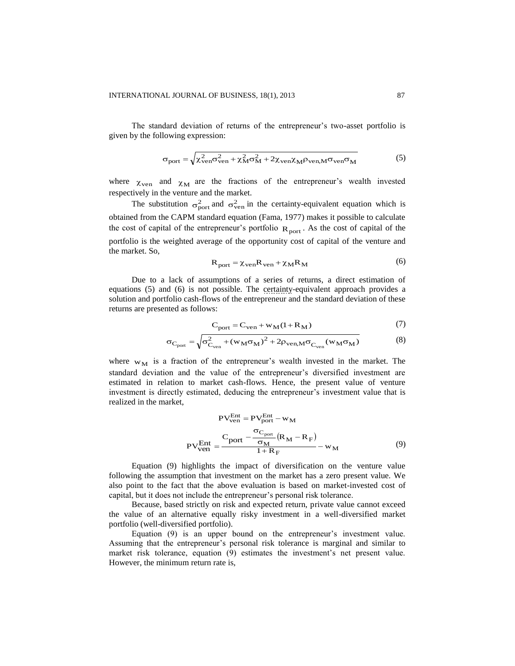The standard deviation of returns of the entrepreneur's two-asset portfolio is given by the following expression:

$$
\sigma_{\text{port}} = \sqrt{\chi_{\text{ven}}^2 \sigma_{\text{ven}}^2 + \chi_{\text{M}}^2 \sigma_{\text{M}}^2 + 2\chi_{\text{ven}} \chi_{\text{M}} \rho_{\text{ven,M}} \sigma_{\text{ven}} \sigma_{\text{M}}}
$$
(5)

where  $\chi_{\text{ven}}$  and  $\chi_{\text{M}}$  are the fractions of the entrepreneur's wealth invested respectively in the venture and the market.

The substitution  $\sigma_{\text{port}}^2$  and  $\sigma_{\text{ven}}^2$  in the certainty-equivalent equation which is obtained from the CAPM standard equation (Fama, 1977) makes it possible to calculate the cost of capital of the entrepreneur's portfolio  $R_{\text{port}}$ . As the cost of capital of the portfolio is the weighted average of the opportunity cost of capital of the venture and the market. So,

$$
R_{\text{port}} = \chi_{\text{ven}} R_{\text{ven}} + \chi_{\text{M}} R_{\text{M}}
$$
 (6)

Due to a lack of assumptions of a series of returns, a direct estimation of equations (5) and (6) is not possible. The certainty-equivalent approach provides a solution and portfolio cash-flows of the entrepreneur and the standard deviation of these returns are presented as follows:

$$
C_{\text{port}} = C_{\text{ven}} + w_M(1 + R_M)
$$
 (7)

$$
\sigma_{C_{\text{port}}} = \sqrt{\sigma_{C_{\text{ven}}}^2 + (w_M \sigma_M)^2 + 2\rho_{\text{ven},M} \sigma_{C_{\text{ven}}} (w_M \sigma_M)}
$$
(8)

where  $w_M$  is a fraction of the entrepreneur's wealth invested in the market. The standard deviation and the value of the entrepreneur's diversified investment are estimated in relation to market cash-flows. Hence, the present value of venture investment is directly estimated, deducing the entrepreneur's investment value that is realized in the market,

$$
PV_{ven}^{Ent} = PV_{port}^{Ent} - w_M
$$
  
\n
$$
PV_{ven}^{Ent} = \frac{C_{port} - \frac{\sigma_{C_{port}}}{\sigma_M} (R_M - R_F)}{1 + R_F} - w_M
$$
 (9)

Equation (9) highlights the impact of diversification on the venture value following the assumption that investment on the market has a zero present value. We also point to the fact that the above evaluation is based on market-invested cost of capital, but it does not include the entrepreneur's personal risk tolerance.

Because, based strictly on risk and expected return, private value cannot exceed the value of an alternative equally risky investment in a well-diversified market portfolio (well-diversified portfolio).

Equation (9) is an upper bound on the entrepreneur's investment value. Assuming that the entrepreneur's personal risk tolerance is marginal and similar to market risk tolerance, equation (9) estimates the investment's net present value. However, the minimum return rate is,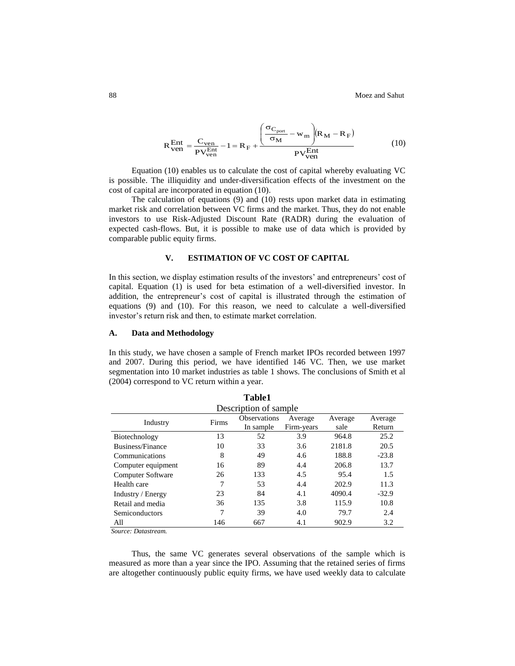$$
R_{\text{ven}}^{\text{Ent}} = \frac{C_{\text{ven}}}{PV_{\text{ven}}^{\text{Ent}}} - 1 = R_{\text{F}} + \frac{\left(\frac{\sigma_{C_{\text{port}}}}{\sigma_{\text{M}}} - w_{\text{m}}\right)(R_{\text{M}} - R_{\text{F}})}{PV_{\text{ven}}^{\text{Ent}}}
$$
(10)

Equation (10) enables us to calculate the cost of capital whereby evaluating VC is possible. The illiquidity and under-diversification effects of the investment on the cost of capital are incorporated in equation (10).

The calculation of equations (9) and (10) rests upon market data in estimating market risk and correlation between VC firms and the market. Thus, they do not enable investors to use Risk-Adjusted Discount Rate (RADR) during the evaluation of expected cash-flows. But, it is possible to make use of data which is provided by comparable public equity firms.

## **V. ESTIMATION OF VC COST OF CAPITAL**

In this section, we display estimation results of the investors' and entrepreneurs' cost of capital. Equation (1) is used for beta estimation of a well-diversified investor. In addition, the entrepreneur's cost of capital is illustrated through the estimation of equations (9) and (10). For this reason, we need to calculate a well-diversified investor's return risk and then, to estimate market correlation.

## **A. Data and Methodology**

In this study, we have chosen a sample of French market IPOs recorded between 1997 and 2007. During this period, we have identified 146 VC. Then, we use market segmentation into 10 market industries as table 1 shows. The conclusions of Smith et al (2004) correspond to VC return within a year.

| <b>Table1</b>            |       |                     |            |         |         |  |  |  |  |
|--------------------------|-------|---------------------|------------|---------|---------|--|--|--|--|
| Description of sample    |       |                     |            |         |         |  |  |  |  |
| Industry                 | Firms | <b>Observations</b> | Average    | Average | Average |  |  |  |  |
|                          |       | In sample           | Firm-years | sale    | Return  |  |  |  |  |
| Biotechnology            | 13    | 52                  | 3.9        | 964.8   | 25.2    |  |  |  |  |
| Business/Finance         | 10    | 33                  | 3.6        | 2181.8  | 20.5    |  |  |  |  |
| Communications           | 8     | 49                  | 4.6        | 188.8   | $-23.8$ |  |  |  |  |
| Computer equipment       | 16    | 89                  | 4.4        | 206.8   | 13.7    |  |  |  |  |
| <b>Computer Software</b> | 26    | 133                 | 4.5        | 95.4    | 1.5     |  |  |  |  |
| Health care              | 7     | 53                  | 4.4        | 202.9   | 11.3    |  |  |  |  |
| Industry / Energy        | 23    | 84                  | 4.1        | 4090.4  | $-32.9$ |  |  |  |  |
| Retail and media         | 36    | 135                 | 3.8        | 115.9   | 10.8    |  |  |  |  |
| Semiconductors           | 7     | 39                  | 4.0        | 79.7    | 2.4     |  |  |  |  |
| All                      | 146   | 667                 | 4.1        | 902.9   | 3.2     |  |  |  |  |
| Source: Datastream.      |       |                     |            |         |         |  |  |  |  |

Thus, the same VC generates several observations of the sample which is measured as more than a year since the IPO. Assuming that the retained series of firms are altogether continuously public equity firms, we have used weekly data to calculate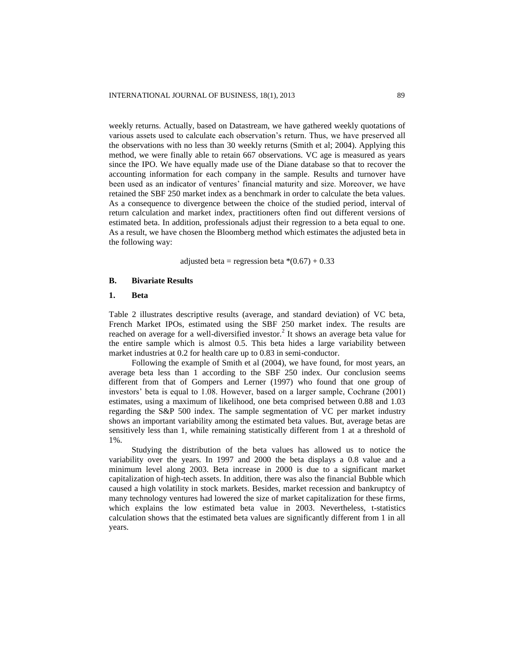weekly returns. Actually, based on Datastream, we have gathered weekly quotations of various assets used to calculate each observation's return. Thus, we have preserved all the observations with no less than 30 weekly returns (Smith et al; 2004). Applying this method, we were finally able to retain 667 observations. VC age is measured as years since the IPO. We have equally made use of the Diane database so that to recover the accounting information for each company in the sample. Results and turnover have been used as an indicator of ventures' financial maturity and size. Moreover, we have retained the SBF 250 market index as a benchmark in order to calculate the beta values. As a consequence to divergence between the choice of the studied period, interval of return calculation and market index, practitioners often find out different versions of estimated beta. In addition, professionals adjust their regression to a beta equal to one. As a result, we have chosen the Bloomberg method which estimates the adjusted beta in the following way:

adjusted beta = regression beta  $*(0.67) + 0.33$ 

## **B. Bivariate Results**

## **1. Beta**

Table 2 illustrates descriptive results (average, and standard deviation) of VC beta, French Market IPOs, estimated using the SBF 250 market index. The results are reached on average for a well-diversified investor.<sup>2</sup> It shows an average beta value for the entire sample which is almost 0.5. This beta hides a large variability between market industries at 0.2 for health care up to 0.83 in semi-conductor.

Following the example of Smith et al (2004), we have found, for most years, an average beta less than 1 according to the SBF 250 index. Our conclusion seems different from that of Gompers and Lerner (1997) who found that one group of investors' beta is equal to 1.08. However, based on a larger sample, Cochrane (2001) estimates, using a maximum of likelihood, one beta comprised between 0.88 and 1.03 regarding the S&P 500 index. The sample segmentation of VC per market industry shows an important variability among the estimated beta values. But, average betas are sensitively less than 1, while remaining statistically different from 1 at a threshold of 1%.

Studying the distribution of the beta values has allowed us to notice the variability over the years. In 1997 and 2000 the beta displays a 0.8 value and a minimum level along 2003. Beta increase in 2000 is due to a significant market capitalization of high-tech assets. In addition, there was also the financial Bubble which caused a high volatility in stock markets. Besides, market recession and bankruptcy of many technology ventures had lowered the size of market capitalization for these firms, which explains the low estimated beta value in 2003. Nevertheless, t-statistics calculation shows that the estimated beta values are significantly different from 1 in all years.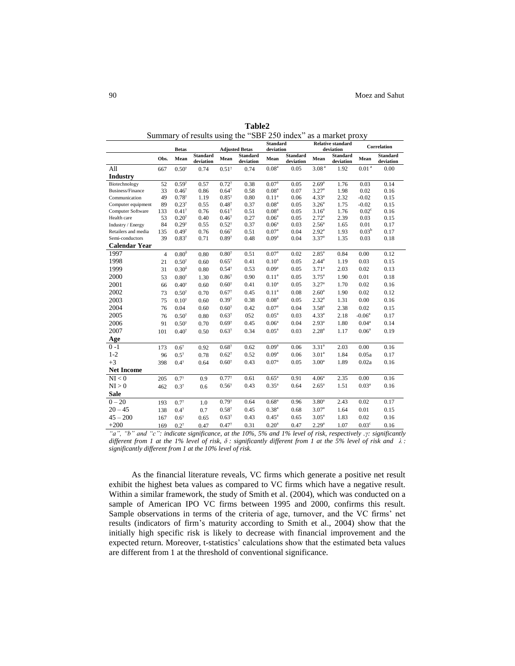|                      |                 |                 | . <i>.</i>                   |                 | <b>Standard</b>       |                   | <b>Relative standard</b>     |                   | Correlation                  |                   |                              |  |
|----------------------|-----------------|-----------------|------------------------------|-----------------|-----------------------|-------------------|------------------------------|-------------------|------------------------------|-------------------|------------------------------|--|
|                      |                 | <b>Betas</b>    |                              |                 | <b>Adjusted Betas</b> | deviation         |                              | deviation         |                              |                   |                              |  |
|                      | Obs.            | Mean            | <b>Standard</b><br>deviation | Mean            | Standard<br>deviation | Mean              | <b>Standard</b><br>deviation | Mean              | <b>Standard</b><br>deviation | Mean              | <b>Standard</b><br>deviation |  |
| All                  | 667             | $0.50^{\gamma}$ | 0.74                         | $0.51^{\gamma}$ | 0.74                  | 0.08 <sup>a</sup> | 0.05                         | 3.08 <sup>a</sup> | 1.92                         | 0.01 <sup>a</sup> | 0.00                         |  |
| <b>Industry</b>      |                 |                 |                              |                 |                       |                   |                              |                   |                              |                   |                              |  |
| Biotechnology        | $\overline{52}$ | $0.59^{\gamma}$ | 0.57                         | $0.72^{7}$      | 0.38                  | $0.07^{a}$        | 0.05                         | $2.69^{a}$        | 1.76                         | 0.03              | 0.14                         |  |
| Business/Finance     | 33              | $0.46^{\gamma}$ | 0.86                         | $0.64^{\gamma}$ | 0.58                  | 0.08 <sup>a</sup> | 0.07                         | 3.27 <sup>a</sup> | 1.98                         | 0.02              | 0.16                         |  |
| Communication        | 49              | $0.78^{\gamma}$ | 1.19                         | $0.85^{\gamma}$ | 0.80                  | $0.11^{\rm a}$    | 0.06                         | $4.33^{a}$        | 2.32                         | $-0.02$           | 0.15                         |  |
| Computer equipment   | 89              | $0.23^{\gamma}$ | 0.55                         | $0.48^{\gamma}$ | 0.37                  | 0.08 <sup>a</sup> | 0.05                         | $3.26^{a}$        | 1.75                         | $-0.02$           | 0.15                         |  |
| Computer Software    | 133             | $0.41^{\gamma}$ | 0.76                         | $0.61^{\gamma}$ | 0.51                  | 0.08 <sup>a</sup> | 0.05                         | 3.16 <sup>a</sup> | 1.76                         | 0.02 <sup>c</sup> | 0.16                         |  |
| Health care          | 53              | $0.20^{\gamma}$ | 0.40                         | $0.46^{\gamma}$ | 0.27                  | 0.06 <sup>a</sup> | 0.05                         | $2.72^{a}$        | 2.39                         | 0.03              | 0.15                         |  |
| Industry / Energy    | 84              | $0.29^{\gamma}$ | 0.55                         | $0.52^{\gamma}$ | 0.37                  | $0.06^a$          | 0.03                         | $2.56^{a}$        | 1.65                         | 0.01              | 0.17                         |  |
| Retailers and media  | 135             | $0.49^{\gamma}$ | 0.76                         | $0.66^{\gamma}$ | 0.51                  | $0.07^{a}$        | 0.04                         | $2.92^{a}$        | 1.93                         | $0.03^{b}$        | 0.17                         |  |
| Semi-conductors      | 39              | $0.83^{\gamma}$ | 0.71                         | $0.89^{\gamma}$ | 0.48                  | $0.09^{a}$        | 0.04                         | 3.37 <sup>a</sup> | 1.35                         | 0.03              | 0.18                         |  |
| <b>Calendar Year</b> |                 |                 |                              |                 |                       |                   |                              |                   |                              |                   |                              |  |
| 1997                 | $\overline{4}$  | $0.80^{\delta}$ | 0.80                         | $0.80^\gamma$   | 0.51                  | 0.07 <sup>a</sup> | 0.02                         | $2.85^{a}$        | 0.84                         | 0.00              | 0.12                         |  |
| 1998                 | 21              | $0.50^{\gamma}$ | 0.60                         | $0.65^{\gamma}$ | 0.41                  | $0.10^a$          | 0.05                         | $2.44^{a}$        | 1.19                         | 0.03              | 0.15                         |  |
| 1999                 | 31              | $0.30^{\delta}$ | 0.80                         | $0.54^{\gamma}$ | 0.53                  | 0.09 <sup>a</sup> | 0.05                         | $3.71^{a}$        | 2.03                         | 0.02              | 0.13                         |  |
| 2000                 | 53              | $0.80^{\gamma}$ | 1.30                         | $0.86^{\gamma}$ | 0.90                  | $0.11^{a}$        | 0.05                         | $3.75^{a}$        | 1.90                         | 0.01              | 0.18                         |  |
| 2001                 | 66              | $0.40^{\gamma}$ | 0.60                         | $0.60^{7}$      | 0.41                  | 0.10 <sup>a</sup> | 0.05                         | 3.27 <sup>a</sup> | 1.70                         | 0.02              | 0.16                         |  |
| 2002                 | 73              | $0.50^{\gamma}$ | 0.70                         | $0.67^{\gamma}$ | 0.45                  | $0.11^{a}$        | 0.08                         | $2.60^a$          | 1.90                         | 0.02              | 0.12                         |  |
| 2003                 | 75              | $0.10^{\gamma}$ | 0.60                         | $0.39^{7}$      | 0.38                  | 0.08 <sup>a</sup> | 0.05                         | $2.32^{a}$        | 1.31                         | 0.00              | 0.16                         |  |
| 2004                 | 76              | 0.04            | 0.60                         | $0.60^{7}$      | 0.42                  | 0.07 <sup>a</sup> | 0.04                         | $3.58^{a}$        | 2.38                         | 0.02              | 0.15                         |  |
| 2005                 | 76              | $0.50^{\gamma}$ | 0.80                         | $0.63^{\gamma}$ | 052                   | 0.05 <sup>a</sup> | 0.03                         | $4.33^{a}$        | 2.18                         | $-0.06a$          | 0.17                         |  |
| 2006                 | 91              | $0.50^{\gamma}$ | 0.70                         | $0.69^{7}$      | 0.45                  | $0.06^a$          | 0.04                         | $2.93^{a}$        | 1.80                         | $0.04^a$          | 0.14                         |  |
| 2007                 | 101             | $0.40^{\gamma}$ | 0.50                         | $0.63^{\gamma}$ | 0.34                  | $0.05^{\text{a}}$ | 0.03                         | $2.28^{a}$        | 1.17                         | $0.06^a$          | 0.19                         |  |
| Age                  |                 |                 |                              |                 |                       |                   |                              |                   |                              |                   |                              |  |
| $0 - 1$              | 173             | $0.6^\gamma$    | 0.92                         | $0.68^{\gamma}$ | 0.62                  | 0.09 <sup>a</sup> | 0.06                         | $3.31^{a}$        | 2.03                         | 0.00              | 0.16                         |  |
| $1 - 2$              | 96              | $0.5^{\gamma}$  | 0.78                         | $0.62^{\gamma}$ | 0.52                  | 0.09 <sup>a</sup> | 0.06                         | 3.01 <sup>a</sup> | 1.84                         | 0.05a             | 0.17                         |  |
| $+3$                 | 398             | $0.4^{\gamma}$  | 0.64                         | $0.60^{\gamma}$ | 0.43                  | 0.07 <sup>a</sup> | 0.05                         | 3.00 <sup>a</sup> | 1.89                         | 0.02a             | 0.16                         |  |
| <b>Net Income</b>    |                 |                 |                              |                 |                       |                   |                              |                   |                              |                   |                              |  |
| NI < 0               | 205             | $0.7^{\gamma}$  | 0.9                          | $0.77^{\gamma}$ | 0.61                  | $0.65^{\circ}$    | 0.91                         | 4.06 <sup>a</sup> | 2.35                         | 0.00              | 0.16                         |  |
| NI > 0               | 462             | $0.3^{\gamma}$  | 0.6                          | $0.56^{\gamma}$ | 0.43                  | $0.35^{a}$        | 0.64                         | $2.65^{\rm a}$    | 1.51                         | 0.03 <sup>a</sup> | 0.16                         |  |
| <b>Sale</b>          |                 |                 |                              |                 |                       |                   |                              |                   |                              |                   |                              |  |
| $0 - 20$             | 193             | $0.7^{\gamma}$  | 1.0                          | $0.79^{7}$      | 0.64                  | $0.68^{\rm a}$    | 0.96                         | 3.80 <sup>a</sup> | 2.43                         | 0.02              | 0.17                         |  |
| $20 - 45$            | 138             | $0.4^{\gamma}$  | 0.7                          | $0.58^{\gamma}$ | 0.45                  | $0.38^{a}$        | 0.68                         | 3.07 <sup>a</sup> | 1.64                         | 0.01              | 0.15                         |  |
| $45 - 200$           | 167             | $0.6^\gamma$    | 0.65                         | $0.63^{\gamma}$ | 0.43                  | $0.45^{\text{a}}$ | 0.65                         | $3.05^{\rm a}$    | 1.83                         | 0.02              | 0.16                         |  |
| $+200$               | 169             | $0.2^{\gamma}$  | 0.47                         | $0.47^{\gamma}$ | 0.31                  | 0.20 <sup>a</sup> | 0.47                         | $2.29^{a}$        | 1.07                         | 0.03 <sup>c</sup> | 0.16                         |  |

**Table2** Summary of results using the "SBF 250 index" as a market proxy

*"a", "b" and "c": indicate significance, at the 10%, 5% and 1% level of risk, respectively .γ: significantly different from 1 at the 1% level of risk, δ : significantly different from 1 at the 5% level of risk and λ : significantly different from 1 at the 10% level of risk.* 

As the financial literature reveals, VC firms which generate a positive net result exhibit the highest beta values as compared to VC firms which have a negative result. Within a similar framework, the study of Smith et al. (2004), which was conducted on a sample of American IPO VC firms between 1995 and 2000, confirms this result. Sample observations in terms of the criteria of age, turnover, and the VC firms' net results (indicators of firm's maturity according to Smith et al., 2004) show that the initially high specific risk is likely to decrease with financial improvement and the expected return. Moreover, t-statistics' calculations show that the estimated beta values are different from 1 at the threshold of conventional significance.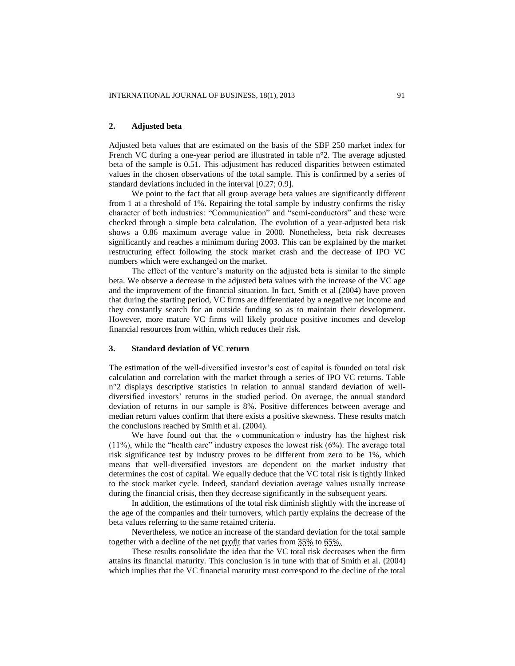## **2. Adjusted beta**

Adjusted beta values that are estimated on the basis of the SBF 250 market index for French VC during a one-year period are illustrated in table n°2. The average adjusted beta of the sample is 0.51. This adjustment has reduced disparities between estimated values in the chosen observations of the total sample. This is confirmed by a series of standard deviations included in the interval [0.27; 0.9].

We point to the fact that all group average beta values are significantly different from 1 at a threshold of 1%. Repairing the total sample by industry confirms the risky character of both industries: "Communication" and "semi-conductors" and these were checked through a simple beta calculation. The evolution of a year-adjusted beta risk shows a 0.86 maximum average value in 2000. Nonetheless, beta risk decreases significantly and reaches a minimum during 2003. This can be explained by the market restructuring effect following the stock market crash and the decrease of IPO VC numbers which were exchanged on the market.

The effect of the venture's maturity on the adjusted beta is similar to the simple beta. We observe a decrease in the adjusted beta values with the increase of the VC age and the improvement of the financial situation. In fact, Smith et al (2004) have proven that during the starting period, VC firms are differentiated by a negative net income and they constantly search for an outside funding so as to maintain their development. However, more mature VC firms will likely produce positive incomes and develop financial resources from within, which reduces their risk.

#### **3. Standard deviation of VC return**

The estimation of the well-diversified investor's cost of capital is founded on total risk calculation and correlation with the market through a series of IPO VC returns. Table n°2 displays descriptive statistics in relation to annual standard deviation of welldiversified investors' returns in the studied period. On average, the annual standard deviation of returns in our sample is 8%. Positive differences between average and median return values confirm that there exists a positive skewness. These results match the conclusions reached by Smith et al. (2004).

We have found out that the « communication » industry has the highest risk  $(11\%)$ , while the "health care" industry exposes the lowest risk  $(6\%)$ . The average total risk significance test by industry proves to be different from zero to be 1%, which means that well-diversified investors are dependent on the market industry that determines the cost of capital. We equally deduce that the VC total risk is tightly linked to the stock market cycle. Indeed, standard deviation average values usually increase during the financial crisis, then they decrease significantly in the subsequent years.

In addition, the estimations of the total risk diminish slightly with the increase of the age of the companies and their turnovers, which partly explains the decrease of the beta values referring to the same retained criteria.

Nevertheless, we notice an increase of the standard deviation for the total sample together with a decline of the net profit that varies from 35% to 65%.

These results consolidate the idea that the VC total risk decreases when the firm attains its financial maturity. This conclusion is in tune with that of Smith et al. (2004) which implies that the VC financial maturity must correspond to the decline of the total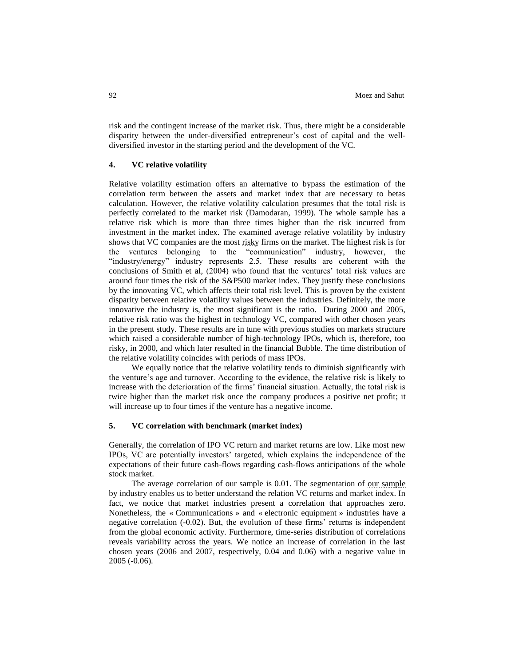risk and the contingent increase of the market risk. Thus, there might be a considerable disparity between the under-diversified entrepreneur's cost of capital and the welldiversified investor in the starting period and the development of the VC.

## **4. VC relative volatility**

Relative volatility estimation offers an alternative to bypass the estimation of the correlation term between the assets and market index that are necessary to betas calculation. However, the relative volatility calculation presumes that the total risk is perfectly correlated to the market risk (Damodaran, 1999). The whole sample has a relative risk which is more than three times higher than the risk incurred from investment in the market index. The examined average relative volatility by industry shows that VC companies are the most risky firms on the market. The highest risk is for the ventures belonging to the "communication" industry, however, the "industry/energy" industry represents 2.5. These results are coherent with the conclusions of Smith et al, (2004) who found that the ventures' total risk values are around four times the risk of the S&P500 market index. They justify these conclusions by the innovating VC, which affects their total risk level. This is proven by the existent disparity between relative volatility values between the industries. Definitely, the more innovative the industry is, the most significant is the ratio. During 2000 and 2005, relative risk ratio was the highest in technology VC, compared with other chosen years in the present study. These results are in tune with previous studies on markets structure which raised a considerable number of high-technology IPOs, which is, therefore, too risky, in 2000, and which later resulted in the financial Bubble. The time distribution of the relative volatility coincides with periods of mass IPOs.

We equally notice that the relative volatility tends to diminish significantly with the venture's age and turnover. According to the evidence, the relative risk is likely to increase with the deterioration of the firms' financial situation. Actually, the total risk is twice higher than the market risk once the company produces a positive net profit; it will increase up to four times if the venture has a negative income.

## **5. VC correlation with benchmark (market index)**

Generally, the correlation of IPO VC return and market returns are low. Like most new IPOs, VC are potentially investors' targeted, which explains the independence of the expectations of their future cash-flows regarding cash-flows anticipations of the whole stock market.

The average correlation of our sample is 0.01. The segmentation of our sample by industry enables us to better understand the relation VC returns and market index. In fact, we notice that market industries present a correlation that approaches zero. Nonetheless, the « Communications » and « electronic equipment » industries have a negative correlation (-0.02). But, the evolution of these firms' returns is independent from the global economic activity. Furthermore, time-series distribution of correlations reveals variability across the years. We notice an increase of correlation in the last chosen years (2006 and 2007, respectively, 0.04 and 0.06) with a negative value in 2005 (-0.06).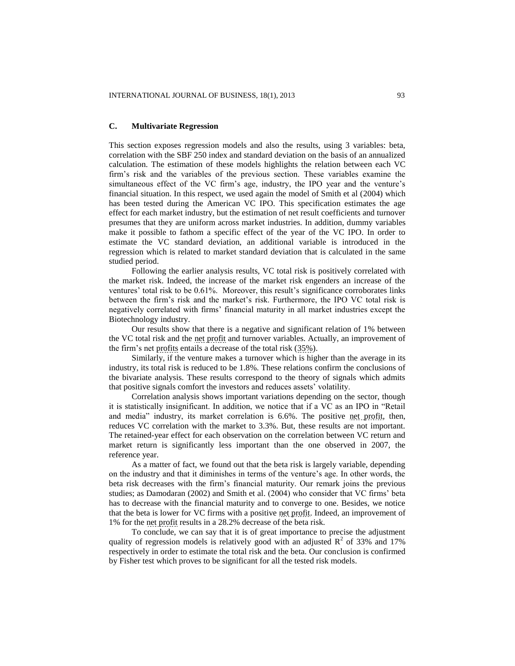## **C. Multivariate Regression**

This section exposes regression models and also the results, using 3 variables: beta, correlation with the SBF 250 index and standard deviation on the basis of an annualized calculation. The estimation of these models highlights the relation between each VC firm's risk and the variables of the previous section. These variables examine the simultaneous effect of the VC firm's age, industry, the IPO year and the venture's financial situation. In this respect, we used again the model of Smith et al (2004) which has been tested during the American VC IPO. This specification estimates the age effect for each market industry, but the estimation of net result coefficients and turnover presumes that they are uniform across market industries. In addition, dummy variables make it possible to fathom a specific effect of the year of the VC IPO. In order to estimate the VC standard deviation, an additional variable is introduced in the regression which is related to market standard deviation that is calculated in the same studied period.

Following the earlier analysis results, VC total risk is positively correlated with the market risk. Indeed, the increase of the market risk engenders an increase of the ventures' total risk to be 0.61%. Moreover, this result's significance corroborates links between the firm's risk and the market's risk. Furthermore, the IPO VC total risk is negatively correlated with firms' financial maturity in all market industries except the Biotechnology industry.

Our results show that there is a negative and significant relation of 1% between the VC total risk and the net profit and turnover variables. Actually, an improvement of the firm's net profits entails a decrease of the total risk (35%).

Similarly, if the venture makes a turnover which is higher than the average in its industry, its total risk is reduced to be 1.8%. These relations confirm the conclusions of the bivariate analysis. These results correspond to the theory of signals which admits that positive signals comfort the investors and reduces assets' volatility.

Correlation analysis shows important variations depending on the sector, though it is statistically insignificant. In addition, we notice that if a VC as an IPO in "Retail and media" industry, its market correlation is 6.6%. The positive net profit, then, reduces VC correlation with the market to 3.3%. But, these results are not important. The retained-year effect for each observation on the correlation between VC return and market return is significantly less important than the one observed in 2007, the reference year.

As a matter of fact, we found out that the beta risk is largely variable, depending on the industry and that it diminishes in terms of the venture's age. In other words, the beta risk decreases with the firm's financial maturity. Our remark joins the previous studies; as Damodaran (2002) and Smith et al. (2004) who consider that VC firms' beta has to decrease with the financial maturity and to converge to one. Besides, we notice that the beta is lower for VC firms with a positive net profit. Indeed, an improvement of 1% for the net profit results in a 28.2% decrease of the beta risk.

To conclude, we can say that it is of great importance to precise the adjustment quality of regression models is relatively good with an adjusted  $\mathbb{R}^2$  of 33% and 17% respectively in order to estimate the total risk and the beta. Our conclusion is confirmed by Fisher test which proves to be significant for all the tested risk models.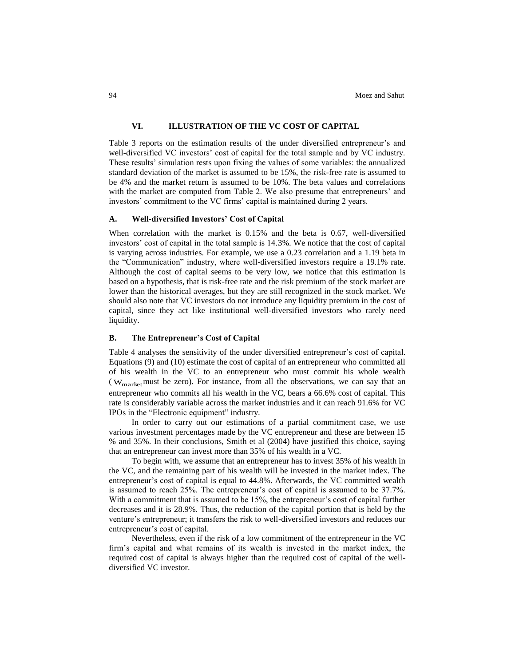## **VI. ILLUSTRATION OF THE VC COST OF CAPITAL**

Table 3 reports on the estimation results of the under diversified entrepreneur's and well-diversified VC investors' cost of capital for the total sample and by VC industry. These results' simulation rests upon fixing the values of some variables: the annualized standard deviation of the market is assumed to be 15%, the risk-free rate is assumed to be 4% and the market return is assumed to be 10%. The beta values and correlations with the market are computed from Table 2. We also presume that entrepreneurs' and investors' commitment to the VC firms' capital is maintained during 2 years.

## **A. Well-diversified Investors' Cost of Capital**

When correlation with the market is 0.15% and the beta is 0.67, well-diversified investors' cost of capital in the total sample is 14.3%. We notice that the cost of capital is varying across industries. For example, we use a 0.23 correlation and a 1.19 beta in the "Communication" industry, where well-diversified investors require a 19.1% rate. Although the cost of capital seems to be very low, we notice that this estimation is based on a hypothesis, that is risk-free rate and the risk premium of the stock market are lower than the historical averages, but they are still recognized in the stock market. We should also note that VC investors do not introduce any liquidity premium in the cost of capital, since they act like institutional well-diversified investors who rarely need liquidity.

## **B. The Entrepreneur's Cost of Capital**

Table 4 analyses the sensitivity of the under diversified entrepreneur's cost of capital. Equations (9) and (10) estimate the cost of capital of an entrepreneur who committed all of his wealth in the VC to an entrepreneur who must commit his whole wealth ( $W_{\text{market}}$  must be zero). For instance, from all the observations, we can say that an entrepreneur who commits all his wealth in the VC, bears a 66.6% cost of capital. This rate is considerably variable across the market industries and it can reach 91.6% for VC IPOs in the "Electronic equipment" industry.

In order to carry out our estimations of a partial commitment case, we use various investment percentages made by the VC entrepreneur and these are between 15 % and 35%. In their conclusions, Smith et al (2004) have justified this choice, saying that an entrepreneur can invest more than 35% of his wealth in a VC.

To begin with, we assume that an entrepreneur has to invest 35% of his wealth in the VC, and the remaining part of his wealth will be invested in the market index. The entrepreneur's cost of capital is equal to 44.8%. Afterwards, the VC committed wealth is assumed to reach 25%. The entrepreneur's cost of capital is assumed to be 37.7%. With a commitment that is assumed to be 15%, the entrepreneur's cost of capital further decreases and it is 28.9%. Thus, the reduction of the capital portion that is held by the venture's entrepreneur; it transfers the risk to well-diversified investors and reduces our entrepreneur's cost of capital.

Nevertheless, even if the risk of a low commitment of the entrepreneur in the VC firm's capital and what remains of its wealth is invested in the market index, the required cost of capital is always higher than the required cost of capital of the welldiversified VC investor.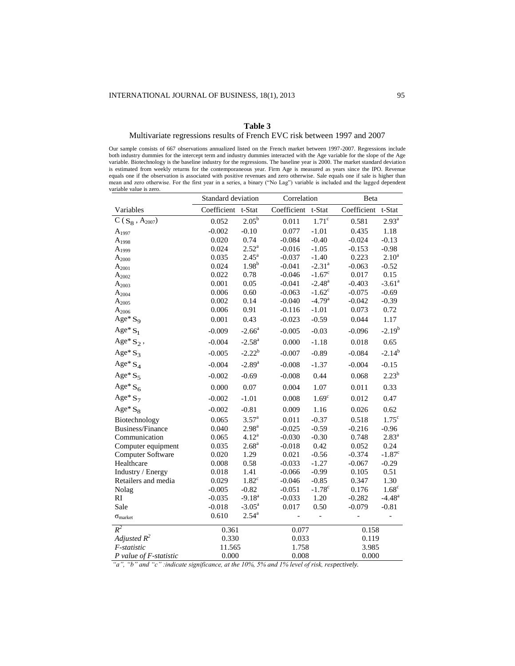#### **Table 3**

## Multivariate regressions results of French EVC risk between 1997 and 2007

Our sample consists of 667 observations annualized listed on the French market between 1997-2007. Regressions include both industry dummies for the intercept term and industry dummies interacted with the Age variable for the slope of the Age variable. Biotechnology is the baseline industry for the regressions. The baseline year is 2000. The market standard deviation is estimated from weekly returns for the contemporaneous year. Firm Age is measured as years since the IPO. Revenue equals one if the observation is associated with positive revenues and zero otherwise. Sale equals one if sale is higher than mean and zero otherwise. For the first year in a series, a binary ("No Lag") variable is included and the lagged dependent variable value is zero.

|                               | Standard deviation |                    | Correlation |                      | Beta        |                      |  |
|-------------------------------|--------------------|--------------------|-------------|----------------------|-------------|----------------------|--|
| Variables                     | Coefficient        | t-Stat             | Coefficient | t-Stat               | Coefficient | t-Stat               |  |
| $\overline{C}(S_8, A_{2007})$ | 0.052              | $2.05^{b}$         | 0.011       | 1.71 <sup>c</sup>    | 0.581       | $2.93^{a}$           |  |
| $A_{1997}$                    | $-0.002$           | $-0.10$            | 0.077       | $-1.01$              | 0.435       | 1.18                 |  |
| $A_{1998}$                    | 0.020              | 0.74               | $-0.084$    | $-0.40$              | $-0.024$    | $-0.13$              |  |
| $A_{1999}$                    | 0.024              | $2.52^{\rm a}$     | $-0.016$    | $-1.05$              | $-0.153$    | $-0.98$              |  |
| $A_{2000}$                    | 0.035              | $2.45^{\circ}$     | $-0.037$    | $-1.40$              | 0.223       | $2.10^{a}$           |  |
| $A_{2001}$                    | 0.024              | 1.98 <sup>b</sup>  | $-0.041$    | $-2.31$ <sup>a</sup> | $-0.063$    | $-0.52$              |  |
| $A_{2002}$                    | 0.022              | 0.78               | $-0.046$    | $-1.67^c$            | 0.017       | 0.15                 |  |
| $A_{2003}$                    | 0.001              | 0.05               | $-0.041$    | $-2.48^{\rm a}$      | $-0.403$    | $-3.61$ <sup>a</sup> |  |
| $A_{2004}$                    | 0.006              | 0.60               | $-0.063$    | $-1.62^c$            | $-0.075$    | $-0.69$              |  |
| $A_{2005}$                    | 0.002              | 0.14               | $-0.040$    | $-4.79$ <sup>a</sup> | $-0.042$    | $-0.39$              |  |
| $A_{2006}$                    | 0.006              | 0.91               | $-0.116$    | $-1.01$              | 0.073       | 0.72                 |  |
| Age* $S_9$                    | 0.001              | 0.43               | $-0.023$    | $-0.59$              | 0.044       | 1.17                 |  |
| Age* $S_1$                    | $-0.009$           | $-2.66^a$          | $-0.005$    | $-0.03$              | $-0.096$    | $-2.19^{b}$          |  |
| Age* $S_2$ ,                  | $-0.004$           | $-2.58^{\rm a}$    | 0.000       | $-1.18$              | 0.018       | 0.65                 |  |
| Age* $S_3$                    | $-0.005$           | $-2.22^b$          | $-0.007$    | $-0.89$              | $-0.084$    | $-2.14^{b}$          |  |
| Age* $S_4$                    | $-0.004$           | $-2.89^{\rm a}$    | $-0.008$    | $-1.37$              | $-0.004$    | $-0.15$              |  |
| Age* $S_5$                    | $-0.002$           | $-0.69$            | $-0.008$    | 0.44                 | 0.068       | $2.23^{b}$           |  |
| Age* $S_6$                    | 0.000              | 0.07               | 0.004       | 1.07                 | 0.011       | 0.33                 |  |
| Age* $S_7$                    | $-0.002$           | $-1.01$            | 0.008       | 1.69 <sup>c</sup>    | 0.012       | 0.47                 |  |
| Age* $S_8$                    | $-0.002$           | $-0.81$            | 0.009       | 1.16                 | 0.026       | 0.62                 |  |
| Biotechnology                 | 0.065              | $3.57^{a}$         | 0.011       | $-0.37$              | 0.518       | $1.75^{\circ}$       |  |
| Business/Finance              | 0.040              | 2.98 <sup>a</sup>  | $-0.025$    | $-0.59$              | $-0.216$    | $-0.96$              |  |
| Communication                 | 0.065              | $4.12^a$           | $-0.030$    | $-0.30$              | 0.748       | $2.83^{a}$           |  |
| Computer equipment            | 0.035              | 2.68 <sup>a</sup>  | $-0.018$    | 0.42                 | 0.052       | 0.24                 |  |
| Computer Software             | 0.020              | 1.29               | 0.021       | $-0.56$              | $-0.374$    | $-1.87$ <sup>c</sup> |  |
| Healthcare                    | 0.008              | 0.58               | $-0.033$    | $-1.27$              | $-0.067$    | $-0.29$              |  |
| Industry / Energy             | 0.018              | 1.41               | $-0.066$    | $-0.99$              | 0.105       | 0.51                 |  |
| Retailers and media           | 0.029              | $1.82^c$           | $-0.046$    | $-0.85$              | 0.347       | 1.30                 |  |
| Nolag                         | $-0.005$           | $-0.82$            | $-0.051$    | $-1.78^{\circ}$      | 0.176       | 1.68 <sup>c</sup>    |  |
| RI                            | $-0.035$           | $-9.18^{a}$        | $-0.033$    | 1.20                 | $-0.282$    | $-4.48$ <sup>a</sup> |  |
| Sale                          | $-0.018$           | $-3.05^{\text{a}}$ | 0.017       | 0.50                 | $-0.079$    | $-0.81$              |  |
| $\sigma_{market}$             | 0.610              | $2.54^{\rm a}$     |             | $\overline{a}$       | -           | $\overline{a}$       |  |
| $R^2$                         | 0.361              |                    | 0.077       |                      | 0.158       |                      |  |
| Adjusted $R^2$                | 0.330              |                    | 0.033       |                      | 0.119       |                      |  |
| F-statistic                   | 11.565             |                    | 1.758       |                      | 3.985       |                      |  |
| $P$ value of $F$ -statistic   | 0.000              |                    | 0.008       |                      | 0.000       |                      |  |

 *"a", "b" and "c" :indicate significance, at the 10%, 5% and 1% level of risk, respectively.*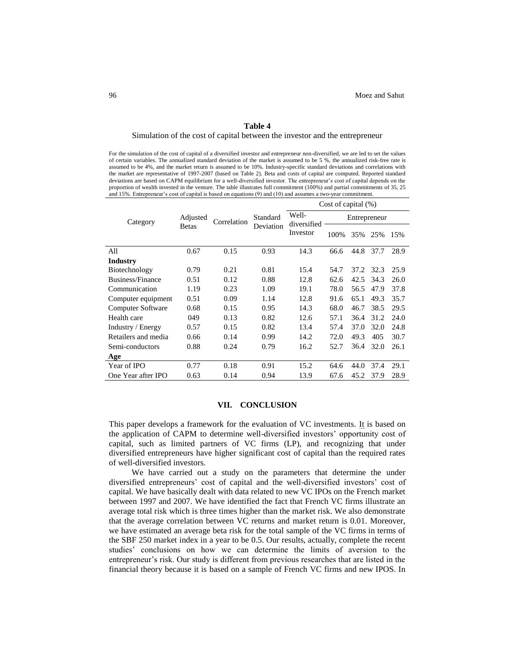#### **Table 4**

#### Simulation of the cost of capital between the investor and the entrepreneur

For the simulation of the cost of capital of a diversified investor and entrepreneur non-diversified, we are led to set the values of certain variables. The annualized standard deviation of the market is assumed to be 5 %, the annualized risk-free rate is assumed to be 4%, and the market return is assumed to be 10%. Industry-specific standard deviations and correlations with the market are representative of 1997-2007 (based on Table 2). Beta and costs of capital are computed. Reported standard deviations are based on CAPM equilibrium for a well-diversified investor. The entrepreneur's cost of capital depends on the proportion of wealth invested in the venture. The table illustrates full commitment (100%) and partial commitments of 35, 25 and 15%. Entrepreneur's cost of capital is based on equations (9) and (10) and assumes a two-year commitment.

|                     | Adjusted     | Correlation | Standard<br>Deviation | Cost of capital $(\%)$           |              |      |      |      |
|---------------------|--------------|-------------|-----------------------|----------------------------------|--------------|------|------|------|
| Category            |              |             |                       | Well-<br>diversified<br>Investor | Entrepreneur |      |      |      |
|                     | <b>Betas</b> |             |                       |                                  | 100%         | 35%  | 25%  | 15%  |
| All                 | 0.67         | 0.15        | 0.93                  | 14.3                             | 66.6         | 44.8 | 37.7 | 28.9 |
| <b>Industry</b>     |              |             |                       |                                  |              |      |      |      |
| Biotechnology       | 0.79         | 0.21        | 0.81                  | 15.4                             | 54.7         | 37.2 | 32.3 | 25.9 |
| Business/Finance    | 0.51         | 0.12        | 0.88                  | 12.8                             | 62.6         | 42.5 | 34.3 | 26.0 |
| Communication       | 1.19         | 0.23        | 1.09                  | 19.1                             | 78.0         | 56.5 | 47.9 | 37.8 |
| Computer equipment  | 0.51         | 0.09        | 1.14                  | 12.8                             | 91.6         | 65.1 | 49.3 | 35.7 |
| Computer Software   | 0.68         | 0.15        | 0.95                  | 14.3                             | 68.0         | 46.7 | 38.5 | 29.5 |
| Health care         | 049          | 0.13        | 0.82                  | 12.6                             | 57.1         | 36.4 | 31.2 | 24.0 |
| Industry / Energy   | 0.57         | 0.15        | 0.82                  | 13.4                             | 57.4         | 37.0 | 32.0 | 24.8 |
| Retailers and media | 0.66         | 0.14        | 0.99                  | 14.2                             | 72.0         | 49.3 | 405  | 30.7 |
| Semi-conductors     | 0.88         | 0.24        | 0.79                  | 16.2                             | 52.7         | 36.4 | 32.0 | 26.1 |
| Age                 |              |             |                       |                                  |              |      |      |      |
| Year of IPO         | 0.77         | 0.18        | 0.91                  | 15.2                             | 64.6         | 44.0 | 37.4 | 29.1 |
| One Year after IPO  | 0.63         | 0.14        | 0.94                  | 13.9                             | 67.6         | 45.2 | 37.9 | 28.9 |

#### **VII. CONCLUSION**

This paper develops a framework for the evaluation of VC investments. It is based on the application of CAPM to determine well-diversified investors' opportunity cost of capital, such as limited partners of VC firms (LP), and recognizing that under diversified entrepreneurs have higher significant cost of capital than the required rates of well-diversified investors.

We have carried out a study on the parameters that determine the under diversified entrepreneurs' cost of capital and the well-diversified investors' cost of capital. We have basically dealt with data related to new VC IPOs on the French market between 1997 and 2007. We have identified the fact that French VC firms illustrate an average total risk which is three times higher than the market risk. We also demonstrate that the average correlation between VC returns and market return is 0.01. Moreover, we have estimated an average beta risk for the total sample of the VC firms in terms of the SBF 250 market index in a year to be 0.5. Our results, actually, complete the recent studies' conclusions on how we can determine the limits of aversion to the entrepreneur's risk. Our study is different from previous researches that are listed in the financial theory because it is based on a sample of French VC firms and new IPOS. In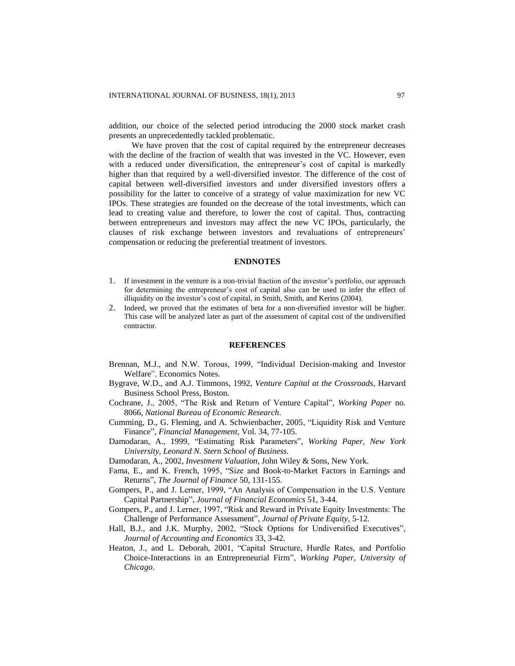addition, our choice of the selected period introducing the 2000 stock market crash presents an unprecedentedly tackled problematic.

We have proven that the cost of capital required by the entrepreneur decreases with the decline of the fraction of wealth that was invested in the VC. However, even with a reduced under diversification, the entrepreneur's cost of capital is markedly higher than that required by a well-diversified investor. The difference of the cost of capital between well-diversified investors and under diversified investors offers a possibility for the latter to conceive of a strategy of value maximization for new VC IPOs. These strategies are founded on the decrease of the total investments, which can lead to creating value and therefore, to lower the cost of capital. Thus, contracting between entrepreneurs and investors may affect the new VC IPOs, particularly, the clauses of risk exchange between investors and revaluations of entrepreneurs' compensation or reducing the preferential treatment of investors.

## **ENDNOTES**

- 1. If investment in the venture is a non-trivial fraction of the investor's portfolio, our approach for determining the entrepreneur's cost of capital also can be used to infer the effect of illiquidity on the investor's cost of capital, in Smith, Smith, and Kerins (2004).
- 2. Indeed, we proved that the estimates of beta for a non-diversified investor will be higher. This case will be analyzed later as part of the assessment of capital cost of the undiversified contractor.

## **REFERENCES**

- Brennan, M.J., and N.W. Torous, 1999, "Individual Decision-making and Investor Welfare", Economics Notes.
- Bygrave, W.D., and A.J. Timmons, 1992, *Venture Capital at the Crossroads*, Harvard Business School Press, Boston.
- Cochrane, J., 2005, "The Risk and Return of Venture Capital", *Working Paper* no. 8066, *National Bureau of Economic Research*.
- Cumming, D., G. Fleming, and A. Schwienbacher, 2005, "Liquidity Risk and Venture Finance", *Financial Management*, Vol. 34, 77-105.
- Damodaran, A., 1999, "Estimating Risk Parameters", *Working Paper, New York University, Leonard N. Stern School of Business.*
- Damodaran, A., 2002, *Investment Valuation*, John Wiley & Sons, New York.
- Fama, E., and K. French, 1995, "Size and Book-to-Market Factors in Earnings and Returns", *The Journal of Finance* 50, 131-155.
- Gompers, P., and J. Lerner, 1999, "An Analysis of Compensation in the U.S. Venture Capital Partnership", *Journal of Financial Economics* 51, 3-44*.*
- Gompers, P., and J. Lerner, 1997, "Risk and Reward in Private Equity Investments: The Challenge of Performance Assessment", *Journal of Private Equity*, 5-12*.*
- Hall, B.J., and J.K. Murphy, 2002, "Stock Options for Undiversified Executives", *Journal of Accounting and Economics* 33, 3-42*.*
- Heaton, J., and L. Deborah, 2001, "Capital Structure, Hurdle Rates, and Portfolio Choice-Interactions in an Entrepreneurial Firm", *Working Paper, University of Chicago*.